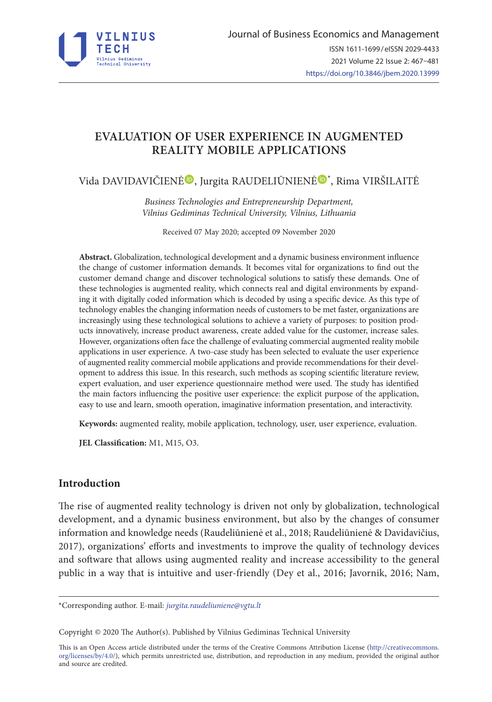

# **EVALUATION OF USER EXPERIENCE IN AUGMENTED REALITY MOBILE APPLICATIONS**

Vida DAVIDAVIČIEN[Ė](https://orcid.org/0000-0002-0931-0967)®, Jurgita RAUDELIŪNIENĖ®[\\*](https://orcid.org/0000-0003-4003-0856), Rima VIRŠILAITĖ

*Business Technologies and Entrepreneurship Department, Vilnius Gediminas Technical University, Vilnius, Lithuania* 

Received 07 May 2020; accepted 09 November 2020

**Abstract.** Globalization, technological development and a dynamic business environment influence the change of customer information demands. It becomes vital for organizations to find out the customer demand change and discover technological solutions to satisfy these demands. One of these technologies is augmented reality, which connects real and digital environments by expanding it with digitally coded information which is decoded by using a specific device. As this type of technology enables the changing information needs of customers to be met faster, organizations are increasingly using these technological solutions to achieve a variety of purposes: to position products innovatively, increase product awareness, create added value for the customer, increase sales. However, organizations often face the challenge of evaluating commercial augmented reality mobile applications in user experience. A two-case study has been selected to evaluate the user experience of augmented reality commercial mobile applications and provide recommendations for their development to address this issue. In this research, such methods as scoping scientific literature review, expert evaluation, and user experience questionnaire method were used. The study has identified the main factors influencing the positive user experience: the explicit purpose of the application, easy to use and learn, smooth operation, imaginative information presentation, and interactivity.

**Keywords:** augmented reality, mobile application, technology, user, user experience, evaluation.

**JEL Classification:** M1, M15, O3.

# **Introduction**

The rise of augmented reality technology is driven not only by globalization, technological development, and a dynamic business environment, but also by the changes of consumer information and knowledge needs (Raudeliūnienė et al., 2018; Raudeliūnienė & Davidavičius, 2017), organizations' efforts and investments to improve the quality of technology devices and software that allows using augmented reality and increase accessibility to the general public in a way that is intuitive and user-friendly (Dey et al., 2016; Javornik, 2016; Nam,

\*Corresponding author. E-mail: *jurgita.raudeliuniene@vgtu.lt*

Copyright © 2020 The Author(s). Published by Vilnius Gediminas Technical University

This is an Open Access article distributed under the terms of the Creative Commons Attribution License ([http://creativecommons.](http://dx.doi.org/10.1016/S0377-2217(03)00091-2) [org/licenses/by/4.0/\)](http://dx.doi.org/10.1016/S0377-2217(03)00091-2), which permits unrestricted use, distribution, and reproduction in any medium, provided the original author and source are credited.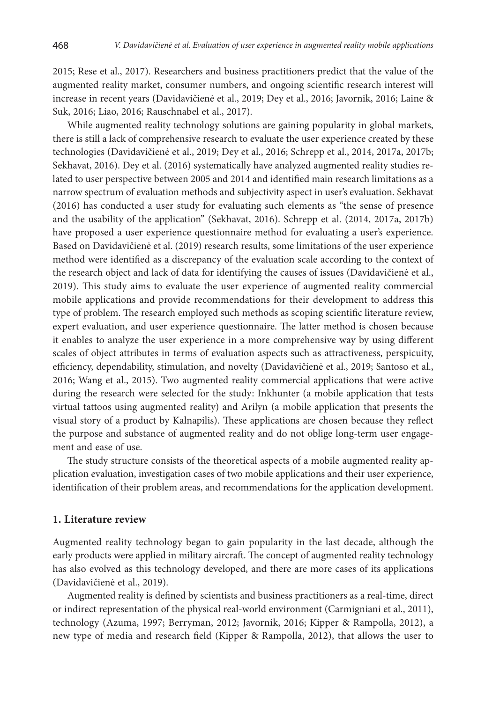2015; Rese et al., 2017). Researchers and business practitioners predict that the value of the augmented reality market, consumer numbers, and ongoing scientific research interest will increase in recent years (Davidavičienė et al., 2019; Dey et al., 2016; Javornik, 2016; Laine & Suk, 2016; Liao, 2016; Rauschnabel et al., 2017).

While augmented reality technology solutions are gaining popularity in global markets, there is still a lack of comprehensive research to evaluate the user experience created by these technologies (Davidavičienė et al., 2019; Dey et al., 2016; Schrepp et al., 2014, 2017a, 2017b; Sekhavat, 2016). Dey et al. (2016) systematically have analyzed augmented reality studies related to user perspective between 2005 and 2014 and identified main research limitations as a narrow spectrum of evaluation methods and subjectivity aspect in user's evaluation. Sekhavat (2016) has conducted a user study for evaluating such elements as "the sense of presence and the usability of the application" (Sekhavat, 2016). Schrepp et al. (2014, 2017a, 2017b) have proposed a user experience questionnaire method for evaluating a user's experience. Based on Davidavičienė et al. (2019) research results, some limitations of the user experience method were identified as a discrepancy of the evaluation scale according to the context of the research object and lack of data for identifying the causes of issues (Davidavičienė et al., 2019). This study aims to evaluate the user experience of augmented reality commercial mobile applications and provide recommendations for their development to address this type of problem. The research employed such methods as scoping scientific literature review, expert evaluation, and user experience questionnaire. The latter method is chosen because it enables to analyze the user experience in a more comprehensive way by using different scales of object attributes in terms of evaluation aspects such as attractiveness, perspicuity, efficiency, dependability, stimulation, and novelty (Davidavičienė et al., 2019; Santoso et al., 2016; Wang et al., 2015). Two augmented reality commercial applications that were active during the research were selected for the study: Inkhunter (a mobile application that tests virtual tattoos using augmented reality) and Arilyn (a mobile application that presents the visual story of a product by Kalnapilis). These applications are chosen because they reflect the purpose and substance of augmented reality and do not oblige long-term user engagement and ease of use.

The study structure consists of the theoretical aspects of a mobile augmented reality application evaluation, investigation cases of two mobile applications and their user experience, identification of their problem areas, and recommendations for the application development.

#### **1. Literature review**

Augmented reality technology began to gain popularity in the last decade, although the early products were applied in military aircraft. The concept of augmented reality technology has also evolved as this technology developed, and there are more cases of its applications (Davidavičienė et al., 2019).

Augmented reality is defined by scientists and business practitioners as a real-time, direct or indirect representation of the physical real-world environment (Carmigniani et al., 2011), technology (Azuma, 1997; Berryman, 2012; Javornik, 2016; Kipper & Rampolla, 2012), a new type of media and research field (Kipper & Rampolla, 2012), that allows the user to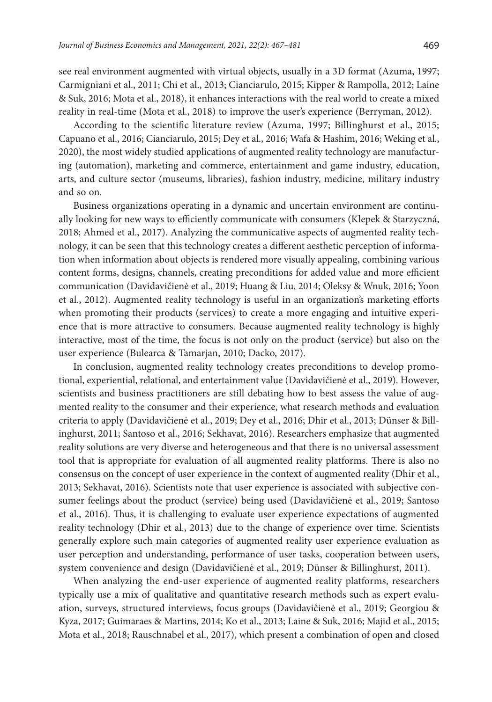see real environment augmented with virtual objects, usually in a 3D format (Azuma, 1997; Carmigniani et al., 2011; Chi et al., 2013; Cianciarulo, 2015; Kipper & Rampolla, 2012; Laine & Suk, 2016; Mota et al., 2018), it enhances interactions with the real world to create a mixed reality in real-time (Mota et al., 2018) to improve the user's experience (Berryman, 2012).

According to the scientific literature review (Azuma, 1997; Billinghurst et al., 2015; Capuano et al., 2016; Cianciarulo, 2015; Dey et al., 2016; Wafa & Hashim, 2016; Weking et al., 2020), the most widely studied applications of augmented reality technology are manufacturing (automation), marketing and commerce, entertainment and game industry, education, arts, and culture sector (museums, libraries), fashion industry, medicine, military industry and so on.

Business organizations operating in a dynamic and uncertain environment are continually looking for new ways to efficiently communicate with consumers (Klepek & Starzyczná, 2018; Ahmed et al., 2017). Analyzing the communicative aspects of augmented reality technology, it can be seen that this technology creates a different aesthetic perception of information when information about objects is rendered more visually appealing, combining various content forms, designs, channels, creating preconditions for added value and more efficient communication (Davidavičienė et al., 2019; Huang & Liu, 2014; Oleksy & Wnuk, 2016; Yoon et al., 2012). Augmented reality technology is useful in an organization's marketing efforts when promoting their products (services) to create a more engaging and intuitive experience that is more attractive to consumers. Because augmented reality technology is highly interactive, most of the time, the focus is not only on the product (service) but also on the user experience (Bulearca & Tamarjan, 2010; Dacko, 2017).

In conclusion, augmented reality technology creates preconditions to develop promotional, experiential, relational, and entertainment value (Davidavičienė et al., 2019). However, scientists and business practitioners are still debating how to best assess the value of augmented reality to the consumer and their experience, what research methods and evaluation criteria to apply (Davidavičienė et al., 2019; Dey et al., 2016; Dhir et al., 2013; Dünser & Billinghurst, 2011; Santoso et al., 2016; Sekhavat, 2016). Researchers emphasize that augmented reality solutions are very diverse and heterogeneous and that there is no universal assessment tool that is appropriate for evaluation of all augmented reality platforms. There is also no consensus on the concept of user experience in the context of augmented reality (Dhir et al., 2013; Sekhavat, 2016). Scientists note that user experience is associated with subjective consumer feelings about the product (service) being used (Davidavičienė et al., 2019; Santoso et al., 2016). Thus, it is challenging to evaluate user experience expectations of augmented reality technology (Dhir et al., 2013) due to the change of experience over time. Scientists generally explore such main categories of augmented reality user experience evaluation as user perception and understanding, performance of user tasks, cooperation between users, system convenience and design (Davidavičienė et al., 2019; Dünser & Billinghurst, 2011).

When analyzing the end-user experience of augmented reality platforms, researchers typically use a mix of qualitative and quantitative research methods such as expert evaluation, surveys, structured interviews, focus groups (Davidavičienė et al., 2019; Georgiou & Kyza, 2017; Guimaraes & Martins, 2014; Ko et al., 2013; Laine & Suk, 2016; Majid et al., 2015; Mota et al., 2018; Rauschnabel et al., 2017), which present a combination of open and closed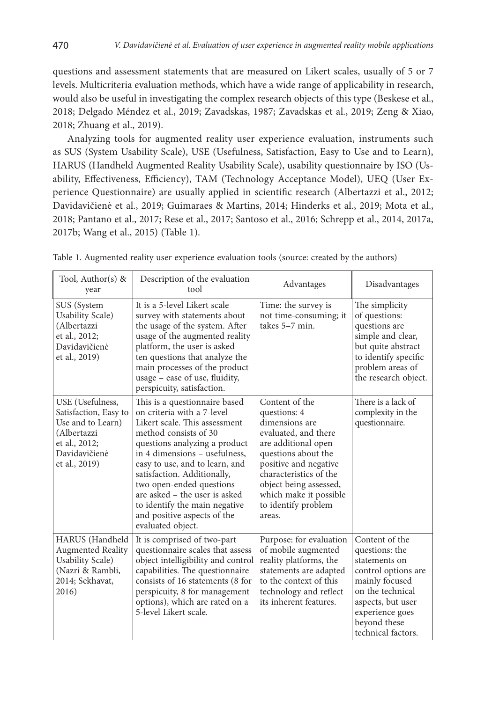questions and assessment statements that are measured on Likert scales, usually of 5 or 7 levels. Multicriteria evaluation methods, which have a wide range of applicability in research, would also be useful in investigating the complex research objects of this type (Beskese et al., 2018; Delgado Méndez et al., 2019; Zavadskas, 1987; Zavadskas et al., 2019; Zeng & Xiao, 2018; Zhuang et al., 2019).

Analyzing tools for augmented reality user experience evaluation, instruments such as SUS (System Usability Scale), USE (Usefulness, Satisfaction, Easy to Use and to Learn), HARUS (Handheld Augmented Reality Usability Scale), usability questionnaire by ISO (Usability, Effectiveness, Efficiency), TAM (Technology Acceptance Model), UEQ (User Experience Questionnaire) are usually applied in scientific research (Albertazzi et al., 2012; Davidavičienė et al., 2019; Guimaraes & Martins, 2014; Hinderks et al., 2019; Mota et al., 2018; Pantano et al., 2017; Rese et al., 2017; Santoso et al., 2016; Schrepp et al., 2014, 2017a, 2017b; Wang et al., 2015) (Table 1).

| Tool, Author(s) $\&$<br>year                                                                                                     | Description of the evaluation<br>tool                                                                                                                                                                                                                                                                                                                                                                      | Advantages                                                                                                                                                                                                                                                     | Disadvantages                                                                                                                                                                                |  |
|----------------------------------------------------------------------------------------------------------------------------------|------------------------------------------------------------------------------------------------------------------------------------------------------------------------------------------------------------------------------------------------------------------------------------------------------------------------------------------------------------------------------------------------------------|----------------------------------------------------------------------------------------------------------------------------------------------------------------------------------------------------------------------------------------------------------------|----------------------------------------------------------------------------------------------------------------------------------------------------------------------------------------------|--|
| SUS (System<br>Usability Scale)<br>(Albertazzi<br>et al., 2012;<br>Davidavičienė<br>et al., 2019)                                | It is a 5-level Likert scale<br>survey with statements about<br>the usage of the system. After<br>usage of the augmented reality<br>platform, the user is asked<br>ten questions that analyze the<br>main processes of the product<br>usage $-$ ease of use, fluidity,<br>perspicuity, satisfaction.                                                                                                       | Time: the survey is<br>not time-consuming; it<br>takes 5-7 min.                                                                                                                                                                                                | The simplicity<br>of questions:<br>questions are<br>simple and clear,<br>but quite abstract<br>to identify specific<br>problem areas of<br>the research object.                              |  |
| USE (Usefulness,<br>Satisfaction, Easy to<br>Use and to Learn)<br>(Albertazzi<br>et al., 2012;<br>Davidavičienė<br>et al., 2019) | This is a questionnaire based<br>on criteria with a 7-level<br>Likert scale. This assessment<br>method consists of 30<br>questions analyzing a product<br>in 4 dimensions – usefulness,<br>easy to use, and to learn, and<br>satisfaction. Additionally,<br>two open-ended questions<br>are asked - the user is asked<br>to identify the main negative<br>and positive aspects of the<br>evaluated object. | Content of the<br>questions: 4<br>dimensions are<br>evaluated, and there<br>are additional open<br>questions about the<br>positive and negative<br>characteristics of the<br>object being assessed,<br>which make it possible<br>to identify problem<br>areas. | There is a lack of<br>complexity in the<br>questionnaire.                                                                                                                                    |  |
| HARUS (Handheld<br><b>Augmented Reality</b><br><b>Usability Scale</b> )<br>(Nazri & Rambli,<br>2014; Sekhavat,<br>2016)          | It is comprised of two-part<br>questionnaire scales that assess<br>object intelligibility and control<br>capabilities. The questionnaire<br>consists of 16 statements (8 for<br>perspicuity, 8 for management<br>options), which are rated on a<br>5-level Likert scale.                                                                                                                                   | Purpose: for evaluation<br>of mobile augmented<br>reality platforms, the<br>statements are adapted<br>to the context of this<br>technology and reflect<br>its inherent features.                                                                               | Content of the<br>questions: the<br>statements on<br>control options are<br>mainly focused<br>on the technical<br>aspects, but user<br>experience goes<br>beyond these<br>technical factors. |  |

Table 1. Augmented reality user experience evaluation tools (source: created by the authors)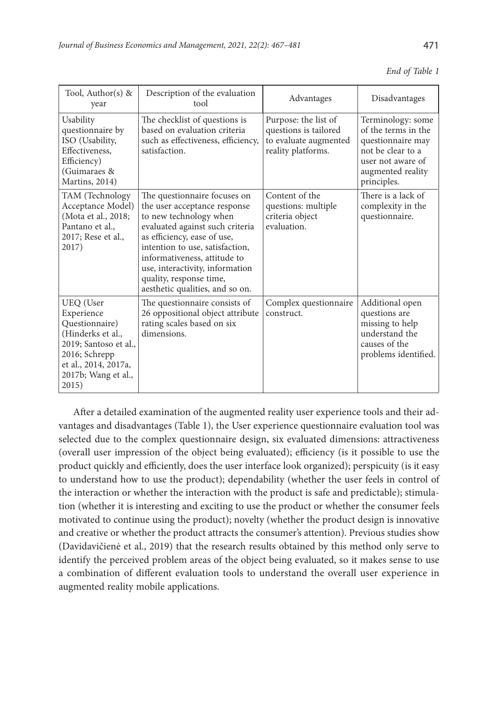| End of Table 1 |  |
|----------------|--|
|----------------|--|

| Tool, Author(s) $\&$<br>year                                                                                                                                     | Description of the evaluation<br>tool                                                                                                                                                                                                                                                                                        | Advantages                                                                                   | Disadvantages                                                                                                                               |  |  |
|------------------------------------------------------------------------------------------------------------------------------------------------------------------|------------------------------------------------------------------------------------------------------------------------------------------------------------------------------------------------------------------------------------------------------------------------------------------------------------------------------|----------------------------------------------------------------------------------------------|---------------------------------------------------------------------------------------------------------------------------------------------|--|--|
| Usability<br>questionnaire by<br>ISO (Usability,<br>Effectiveness,<br>Efficiency)<br>(Guimaraes &<br>Martins, 2014)                                              | The checklist of questions is<br>based on evaluation criteria<br>such as effectiveness, efficiency,<br>satisfaction.                                                                                                                                                                                                         | Purpose: the list of<br>questions is tailored<br>to evaluate augmented<br>reality platforms. | Terminology: some<br>of the terms in the<br>questionnaire may<br>not be clear to a<br>user not aware of<br>augmented reality<br>principles. |  |  |
| TAM (Technology<br>Acceptance Model)<br>(Mota et al., 2018;<br>Pantano et al.,<br>2017; Rese et al.,<br>2017)                                                    | The questionnaire focuses on<br>the user acceptance response<br>to new technology when<br>evaluated against such criteria<br>as efficiency, ease of use,<br>intention to use, satisfaction,<br>informativeness, attitude to<br>use, interactivity, information<br>quality, response time,<br>aesthetic qualities, and so on. | Content of the<br>questions: multiple<br>criteria object<br>evaluation.                      | There is a lack of<br>complexity in the<br>questionnaire.                                                                                   |  |  |
| UEQ (User<br>Experience<br>Questionnaire)<br>(Hinderks et al.,<br>2019; Santoso et al.,<br>2016; Schrepp<br>et al., 2014, 2017a,<br>2017b; Wang et al.,<br>2015) | The questionnaire consists of<br>26 oppositional object attribute<br>rating scales based on six<br>dimensions.                                                                                                                                                                                                               | Complex questionnaire<br>construct.                                                          | Additional open<br>questions are<br>missing to help<br>understand the<br>causes of the<br>problems identified.                              |  |  |

After a detailed examination of the augmented reality user experience tools and their advantages and disadvantages (Table 1), the User experience questionnaire evaluation tool was selected due to the complex questionnaire design, six evaluated dimensions: attractiveness (overall user impression of the object being evaluated); efficiency (is it possible to use the product quickly and efficiently, does the user interface look organized); perspicuity (is it easy to understand how to use the product); dependability (whether the user feels in control of the interaction or whether the interaction with the product is safe and predictable); stimulation (whether it is interesting and exciting to use the product or whether the consumer feels motivated to continue using the product); novelty (whether the product design is innovative and creative or whether the product attracts the consumer's attention). Previous studies show (Davidavičienė et al., 2019) that the research results obtained by this method only serve to identify the perceived problem areas of the object being evaluated, so it makes sense to use a combination of different evaluation tools to understand the overall user experience in augmented reality mobile applications.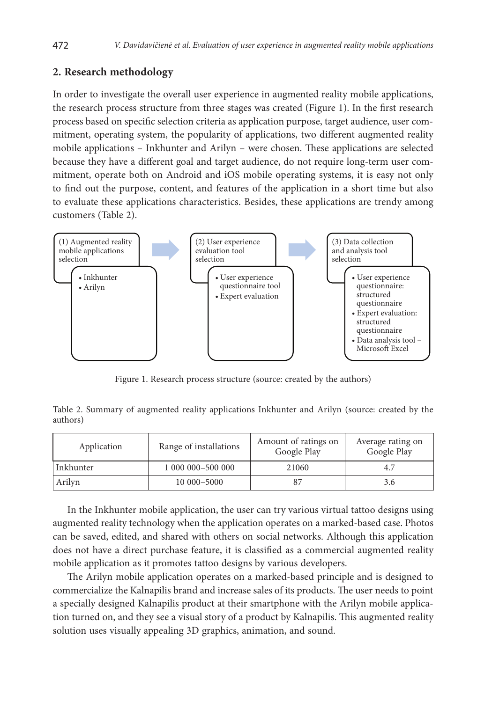# **2. Research methodology**

In order to investigate the overall user experience in augmented reality mobile applications, the research process structure from three stages was created (Figure 1). In the first research process based on specific selection criteria as application purpose, target audience, user commitment, operating system, the popularity of applications, two different augmented reality mobile applications – Inkhunter and Arilyn – were chosen. These applications are selected because they have a different goal and target audience, do not require long-term user commitment, operate both on Android and iOS mobile operating systems, it is easy not only to find out the purpose, content, and features of the application in a short time but also to evaluate these applications characteristics. Besides, these applications are trendy among customers (Table 2).



Figure 1. Research process structure (source: created by the authors)

Table 2. Summary of augmented reality applications Inkhunter and Arilyn (source: created by the authors)

| Application | Range of installations | Amount of ratings on<br>Google Play | Average rating on<br>Google Play |  |
|-------------|------------------------|-------------------------------------|----------------------------------|--|
| Inkhunter   | 1 000 000-500 000      | 21060                               | 4.7                              |  |
| Arilyn      | 10 000-5000            | 87                                  | 3.6                              |  |

In the Inkhunter mobile application, the user can try various virtual tattoo designs using augmented reality technology when the application operates on a marked-based case. Photos can be saved, edited, and shared with others on social networks. Although this application does not have a direct purchase feature, it is classified as a commercial augmented reality mobile application as it promotes tattoo designs by various developers.

The Arilyn mobile application operates on a marked-based principle and is designed to commercialize the Kalnapilis brand and increase sales of its products. The user needs to point a specially designed Kalnapilis product at their smartphone with the Arilyn mobile application turned on, and they see a visual story of a product by Kalnapilis. This augmented reality solution uses visually appealing 3D graphics, animation, and sound.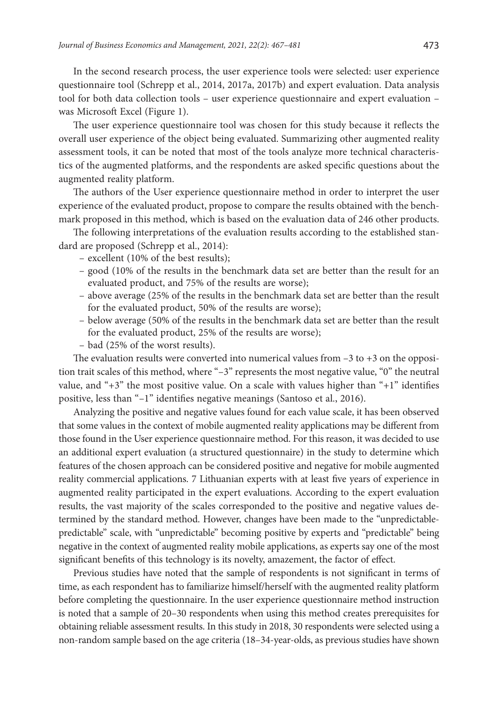In the second research process, the user experience tools were selected: user experience questionnaire tool (Schrepp et al., 2014, 2017a, 2017b) and expert evaluation. Data analysis tool for both data collection tools – user experience questionnaire and expert evaluation – was Microsoft Excel (Figure 1).

The user experience questionnaire tool was chosen for this study because it reflects the overall user experience of the object being evaluated. Summarizing other augmented reality assessment tools, it can be noted that most of the tools analyze more technical characteristics of the augmented platforms, and the respondents are asked specific questions about the augmented reality platform.

The authors of the User experience questionnaire method in order to interpret the user experience of the evaluated product, propose to compare the results obtained with the benchmark proposed in this method, which is based on the evaluation data of 246 other products.

The following interpretations of the evaluation results according to the established standard are proposed (Schrepp et al., 2014):

- excellent (10% of the best results);
- good (10% of the results in the benchmark data set are better than the result for an evaluated product, and 75% of the results are worse);
- above average (25% of the results in the benchmark data set are better than the result for the evaluated product, 50% of the results are worse);
- below average (50% of the results in the benchmark data set are better than the result for the evaluated product, 25% of the results are worse);
- bad (25% of the worst results).

The evaluation results were converted into numerical values from  $-3$  to  $+3$  on the opposition trait scales of this method, where "–3" represents the most negative value, "0" the neutral value, and "+3" the most positive value. On a scale with values higher than "+1" identifies positive, less than "–1" identifies negative meanings (Santoso et al., 2016).

Analyzing the positive and negative values found for each value scale, it has been observed that some values in the context of mobile augmented reality applications may be different from those found in the User experience questionnaire method. For this reason, it was decided to use an additional expert evaluation (a structured questionnaire) in the study to determine which features of the chosen approach can be considered positive and negative for mobile augmented reality commercial applications. 7 Lithuanian experts with at least five years of experience in augmented reality participated in the expert evaluations. According to the expert evaluation results, the vast majority of the scales corresponded to the positive and negative values determined by the standard method. However, changes have been made to the "unpredictablepredictable" scale, with "unpredictable" becoming positive by experts and "predictable" being negative in the context of augmented reality mobile applications, as experts say one of the most significant benefits of this technology is its novelty, amazement, the factor of effect.

Previous studies have noted that the sample of respondents is not significant in terms of time, as each respondent has to familiarize himself/herself with the augmented reality platform before completing the questionnaire. In the user experience questionnaire method instruction is noted that a sample of 20–30 respondents when using this method creates prerequisites for obtaining reliable assessment results. In this study in 2018, 30 respondents were selected using a non-random sample based on the age criteria (18–34-year-olds, as previous studies have shown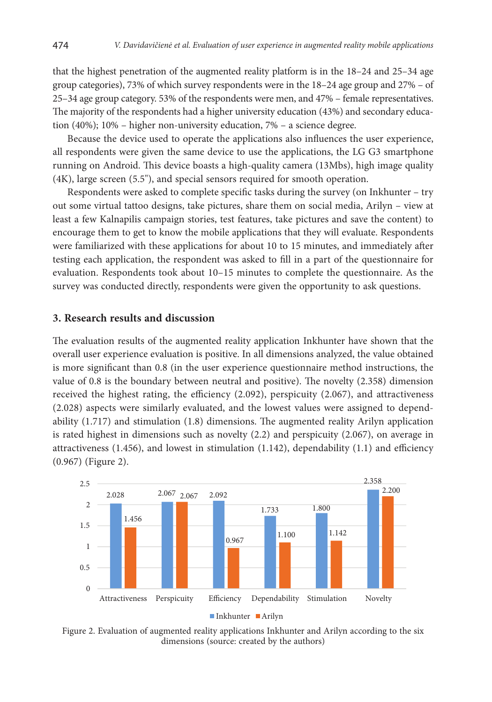that the highest penetration of the augmented reality platform is in the 18–24 and 25–34 age group categories), 73% of which survey respondents were in the 18–24 age group and 27% – of 25–34 age group category. 53% of the respondents were men, and 47% – female representatives. The majority of the respondents had a higher university education (43%) and secondary education (40%); 10% – higher non-university education, 7% – a science degree.

Because the device used to operate the applications also influences the user experience, all respondents were given the same device to use the applications, the LG G3 smartphone running on Android. This device boasts a high-quality camera (13Mbs), high image quality (4K), large screen (5.5"), and special sensors required for smooth operation.

Respondents were asked to complete specific tasks during the survey (on Inkhunter – try out some virtual tattoo designs, take pictures, share them on social media, Arilyn – view at least a few Kalnapilis campaign stories, test features, take pictures and save the content) to encourage them to get to know the mobile applications that they will evaluate. Respondents were familiarized with these applications for about 10 to 15 minutes, and immediately after testing each application, the respondent was asked to fill in a part of the questionnaire for evaluation. Respondents took about 10–15 minutes to complete the questionnaire. As the survey was conducted directly, respondents were given the opportunity to ask questions.

#### **3. Research results and discussion**

The evaluation results of the augmented reality application Inkhunter have shown that the overall user experience evaluation is positive. In all dimensions analyzed, the value obtained is more significant than 0.8 (in the user experience questionnaire method instructions, the value of 0.8 is the boundary between neutral and positive). The novelty (2.358) dimension received the highest rating, the efficiency (2.092), perspicuity (2.067), and attractiveness (2.028) aspects were similarly evaluated, and the lowest values were assigned to dependability (1.717) and stimulation (1.8) dimensions. The augmented reality Arilyn application is rated highest in dimensions such as novelty (2.2) and perspicuity (2.067), on average in attractiveness  $(1.456)$ , and lowest in stimulation  $(1.142)$ , dependability  $(1.1)$  and efficiency (0.967) (Figure 2).



Figure 2. Evaluation of augmented reality applications Inkhunter and Arilyn according to the six dimensions (source: created by the authors)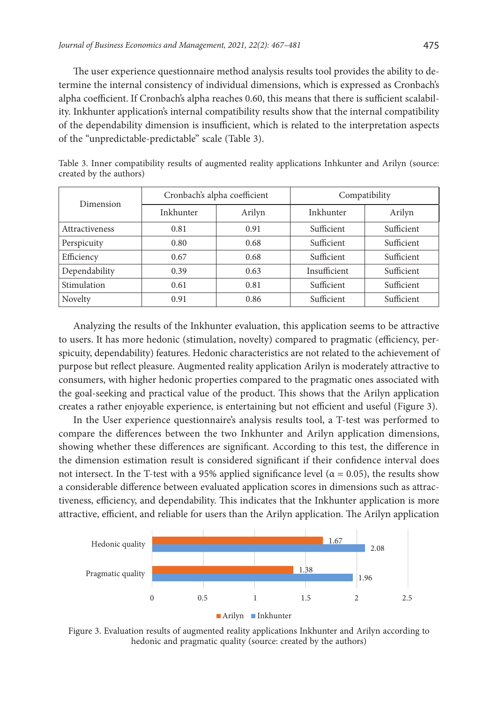The user experience questionnaire method analysis results tool provides the ability to determine the internal consistency of individual dimensions, which is expressed as Cronbach's alpha coefficient. If Cronbach's alpha reaches 0.60, this means that there is sufficient scalability. Inkhunter application's internal compatibility results show that the internal compatibility of the dependability dimension is insufficient, which is related to the interpretation aspects of the "unpredictable-predictable" scale (Table 3).

| Dimension      |           | Cronbach's alpha coefficient | Compatibility |            |  |
|----------------|-----------|------------------------------|---------------|------------|--|
|                | Inkhunter | Arilyn                       | Inkhunter     | Arilyn     |  |
| Attractiveness | 0.81      | 0.91                         | Sufficient    | Sufficient |  |
| Perspicuity    | 0.80      | 0.68                         | Sufficient    | Sufficient |  |
| Efficiency     | 0.67      | 0.68                         | Sufficient    | Sufficient |  |
| Dependability  | 0.39      | 0.63                         | Insufficient  | Sufficient |  |
| Stimulation    | 0.61      | 0.81                         | Sufficient    | Sufficient |  |
| Novelty        | 0.91      | 0.86                         | Sufficient    | Sufficient |  |

Table 3. Inner compatibility results of augmented reality applications Inhkunter and Arilyn (source: created by the authors)

Analyzing the results of the Inkhunter evaluation, this application seems to be attractive to users. It has more hedonic (stimulation, novelty) compared to pragmatic (efficiency, perspicuity, dependability) features. Hedonic characteristics are not related to the achievement of purpose but reflect pleasure. Augmented reality application Arilyn is moderately attractive to consumers, with higher hedonic properties compared to the pragmatic ones associated with the goal-seeking and practical value of the product. This shows that the Arilyn application creates a rather enjoyable experience, is entertaining but not efficient and useful (Figure 3).

In the User experience questionnaire's analysis results tool, a T-test was performed to compare the differences between the two Inkhunter and Arilyn application dimensions, showing whether these differences are significant. According to this test, the difference in the dimension estimation result is considered significant if their confidence interval does not intersect. In the T-test with a 95% applied significance level ( $\alpha = 0.05$ ), the results show a considerable difference between evaluated application scores in dimensions such as attractiveness, efficiency, and dependability. This indicates that the Inkhunter application is more attractive, efficient, and reliable for users than the Arilyn application. The Arilyn application



Figure 3. Evaluation results of augmented reality applications Inkhunter and Arilyn according to hedonic and pragmatic quality (source: created by the authors)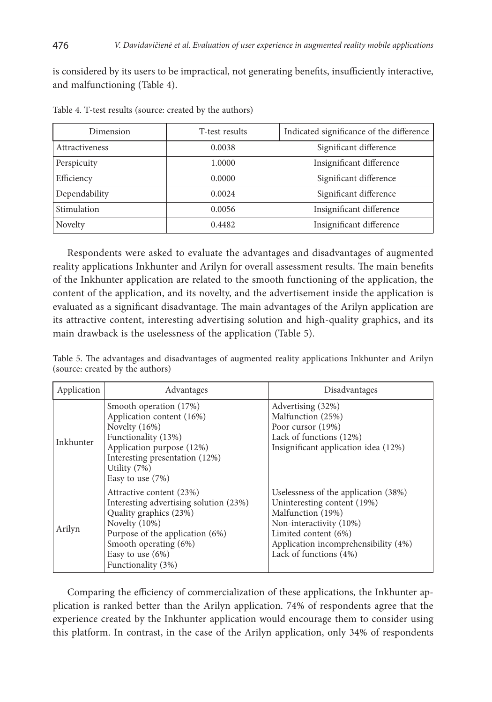is considered by its users to be impractical, not generating benefits, insufficiently interactive, and malfunctioning (Table 4).

| Dimension      | T-test results | Indicated significance of the difference |
|----------------|----------------|------------------------------------------|
| Attractiveness | 0.0038         | Significant difference                   |
| Perspicuity    | 1.0000         | Insignificant difference                 |
| Efficiency     | 0.0000         | Significant difference                   |
| Dependability  | 0.0024         | Significant difference                   |
| Stimulation    | 0.0056         | Insignificant difference                 |
| Novelty        | 0.4482         | Insignificant difference                 |

Table 4. T-test results (source: created by the authors)

Respondents were asked to evaluate the advantages and disadvantages of augmented reality applications Inkhunter and Arilyn for overall assessment results. The main benefits of the Inkhunter application are related to the smooth functioning of the application, the content of the application, and its novelty, and the advertisement inside the application is evaluated as a significant disadvantage. The main advantages of the Arilyn application are its attractive content, interesting advertising solution and high-quality graphics, and its main drawback is the uselessness of the application (Table 5).

|  |                                  | Table 5. The advantages and disadvantages of augmented reality applications Inkhunter and Arilyn |  |  |  |  |
|--|----------------------------------|--------------------------------------------------------------------------------------------------|--|--|--|--|
|  | (source: created by the authors) |                                                                                                  |  |  |  |  |

| Application | Advantages                                                                                                                                                                                                               | Disadvantages                                                                                                                                                                                                 |
|-------------|--------------------------------------------------------------------------------------------------------------------------------------------------------------------------------------------------------------------------|---------------------------------------------------------------------------------------------------------------------------------------------------------------------------------------------------------------|
| Inkhunter   | Smooth operation (17%)<br>Application content (16%)<br>Novelty $(16\%)$<br>Functionality (13%)<br>Application purpose (12%)<br>Interesting presentation (12%)<br>Utility (7%)<br>Easy to use $(7%)$                      | Advertising (32%)<br>Malfunction (25%)<br>Poor cursor (19%)<br>Lack of functions (12%)<br>Insignificant application idea (12%)                                                                                |
| Arilyn      | Attractive content (23%)<br>Interesting advertising solution (23%)<br>Quality graphics (23%)<br>Novelty $(10\%)$<br>Purpose of the application (6%)<br>Smooth operating (6%)<br>Easy to use $(6%)$<br>Functionality (3%) | Uselessness of the application (38%)<br>Uninteresting content (19%)<br>Malfunction (19%)<br>Non-interactivity (10%)<br>Limited content (6%)<br>Application incomprehensibility (4%)<br>Lack of functions (4%) |

Comparing the efficiency of commercialization of these applications, the Inkhunter application is ranked better than the Arilyn application. 74% of respondents agree that the experience created by the Inkhunter application would encourage them to consider using this platform. In contrast, in the case of the Arilyn application, only 34% of respondents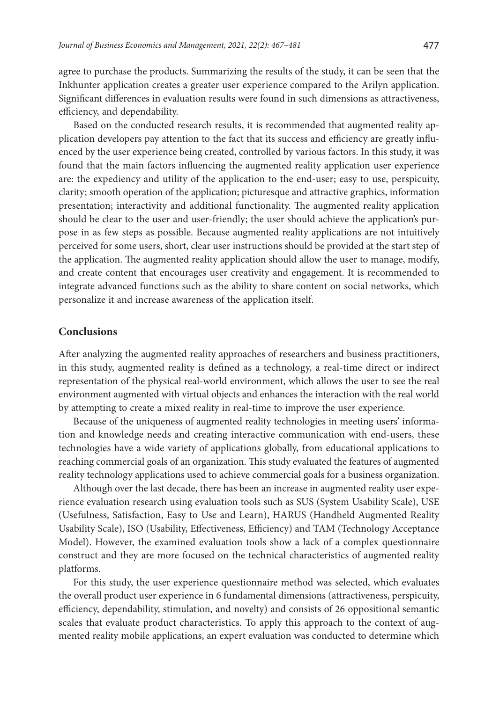agree to purchase the products. Summarizing the results of the study, it can be seen that the Inkhunter application creates a greater user experience compared to the Arilyn application. Significant differences in evaluation results were found in such dimensions as attractiveness, efficiency, and dependability.

Based on the conducted research results, it is recommended that augmented reality application developers pay attention to the fact that its success and efficiency are greatly influenced by the user experience being created, controlled by various factors. In this study, it was found that the main factors influencing the augmented reality application user experience are: the expediency and utility of the application to the end-user; easy to use, perspicuity, clarity; smooth operation of the application; picturesque and attractive graphics, information presentation; interactivity and additional functionality. The augmented reality application should be clear to the user and user-friendly; the user should achieve the application's purpose in as few steps as possible. Because augmented reality applications are not intuitively perceived for some users, short, clear user instructions should be provided at the start step of the application. The augmented reality application should allow the user to manage, modify, and create content that encourages user creativity and engagement. It is recommended to integrate advanced functions such as the ability to share content on social networks, which personalize it and increase awareness of the application itself.

### **Conclusions**

After analyzing the augmented reality approaches of researchers and business practitioners, in this study, augmented reality is defined as a technology, a real-time direct or indirect representation of the physical real-world environment, which allows the user to see the real environment augmented with virtual objects and enhances the interaction with the real world by attempting to create a mixed reality in real-time to improve the user experience.

Because of the uniqueness of augmented reality technologies in meeting users' information and knowledge needs and creating interactive communication with end-users, these technologies have a wide variety of applications globally, from educational applications to reaching commercial goals of an organization. This study evaluated the features of augmented reality technology applications used to achieve commercial goals for a business organization.

Although over the last decade, there has been an increase in augmented reality user experience evaluation research using evaluation tools such as SUS (System Usability Scale), USE (Usefulness, Satisfaction, Easy to Use and Learn), HARUS (Handheld Augmented Reality Usability Scale), ISO (Usability, Effectiveness, Efficiency) and TAM (Technology Acceptance Model). However, the examined evaluation tools show a lack of a complex questionnaire construct and they are more focused on the technical characteristics of augmented reality platforms.

For this study, the user experience questionnaire method was selected, which evaluates the overall product user experience in 6 fundamental dimensions (attractiveness, perspicuity, efficiency, dependability, stimulation, and novelty) and consists of 26 oppositional semantic scales that evaluate product characteristics. To apply this approach to the context of augmented reality mobile applications, an expert evaluation was conducted to determine which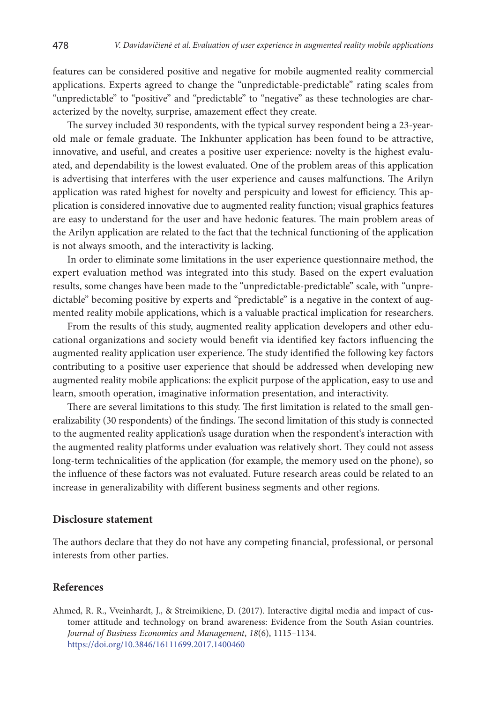features can be considered positive and negative for mobile augmented reality commercial applications. Experts agreed to change the "unpredictable-predictable" rating scales from "unpredictable" to "positive" and "predictable" to "negative" as these technologies are characterized by the novelty, surprise, amazement effect they create.

The survey included 30 respondents, with the typical survey respondent being a 23-yearold male or female graduate. The Inkhunter application has been found to be attractive, innovative, and useful, and creates a positive user experience: novelty is the highest evaluated, and dependability is the lowest evaluated. One of the problem areas of this application is advertising that interferes with the user experience and causes malfunctions. The Arilyn application was rated highest for novelty and perspicuity and lowest for efficiency. This application is considered innovative due to augmented reality function; visual graphics features are easy to understand for the user and have hedonic features. The main problem areas of the Arilyn application are related to the fact that the technical functioning of the application is not always smooth, and the interactivity is lacking.

In order to eliminate some limitations in the user experience questionnaire method, the expert evaluation method was integrated into this study. Based on the expert evaluation results, some changes have been made to the "unpredictable-predictable" scale, with "unpredictable" becoming positive by experts and "predictable" is a negative in the context of augmented reality mobile applications, which is a valuable practical implication for researchers.

From the results of this study, augmented reality application developers and other educational organizations and society would benefit via identified key factors influencing the augmented reality application user experience. The study identified the following key factors contributing to a positive user experience that should be addressed when developing new augmented reality mobile applications: the explicit purpose of the application, easy to use and learn, smooth operation, imaginative information presentation, and interactivity.

There are several limitations to this study. The first limitation is related to the small generalizability (30 respondents) of the findings. The second limitation of this study is connected to the augmented reality application's usage duration when the respondent's interaction with the augmented reality platforms under evaluation was relatively short. They could not assess long-term technicalities of the application (for example, the memory used on the phone), so the influence of these factors was not evaluated. Future research areas could be related to an increase in generalizability with different business segments and other regions.

## **Disclosure statement**

The authors declare that they do not have any competing financial, professional, or personal interests from other parties.

### **References**

Ahmed, R. R., Vveinhardt, J., & Streimikiene, D. (2017). Interactive digital media and impact of customer attitude and technology on brand awareness: Evidence from the South Asian countries. *Journal of Business Economics and Management*, *18*(6), 1115–1134. <https://doi.org/10.3846/16111699.2017.1400460>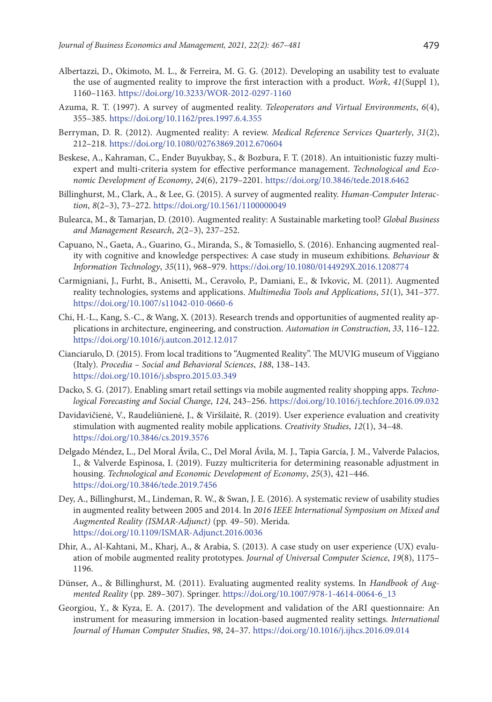- Albertazzi, D., Okimoto, M. L., & Ferreira, M. G. G. (2012). Developing an usability test to evaluate the use of augmented reality to improve the first interaction with a product. *Work*, *41*(Suppl 1), 1160–1163. <https://doi.org/10.3233/WOR-2012-0297-1160>
- Azuma, R. T. (1997). A survey of augmented reality. *Teleoperators and Virtual Environments*, *6*(4), 355–385. <https://doi.org/10.1162/pres.1997.6.4.355>
- Berryman, D. R. (2012). Augmented reality: A review. *Medical Reference Services Quarterly*, *31*(2), 212–218. <https://doi.org/10.1080/02763869.2012.670604>
- Beskese, A., Kahraman, C., Ender Buyukbay, S., & Bozbura, F. T. (2018). An intuitionistic fuzzy multiexpert and multi-criteria system for effective performance management. *Technological and Economic Development of Economy*, *24*(6), 2179–2201. <https://doi.org/10.3846/tede.2018.6462>
- Billinghurst, M., Clark, A., & Lee, G. (2015). A survey of augmented reality. *Human-Computer Interaction*, *8*(2–3), 73–272. <https://doi.org/10.1561/1100000049>
- Bulearca, M., & Tamarjan, D. (2010). Augmented reality: A Sustainable marketing tool? *Global Business and Management Research*, *2*(2–3), 237–252.
- Capuano, N., Gaeta, A., Guarino, G., Miranda, S., & Tomasiello, S. (2016). Enhancing augmented reality with cognitive and knowledge perspectives: A case study in museum exhibitions. *Behaviour* & *Information Technology*, *35*(11), 968–979. <https://doi.org/10.1080/0144929X.2016.1208774>
- Carmigniani, J., Furht, B., Anisetti, M., Ceravolo, P., Damiani, E., & Ivkovic, M. (2011). Augmented reality technologies, systems and applications. *Multimedia Tools and Applications*, *51*(1), 341–377. <https://doi.org/10.1007/s11042-010-0660-6>
- Chi, H.-L., Kang, S.-C., & Wang, X. (2013). Research trends and opportunities of augmented reality applications in architecture, engineering, and construction. *Automation in Construction*, *33*, 116–122. <https://doi.org/10.1016/j.autcon.2012.12.017>
- Cianciarulo, D. (2015). From local traditions to "Augmented Reality". The MUVIG museum of Viggiano (Italy). *Procedia – Social and Behavioral Sciences*, *188*, 138–143. <https://doi.org/10.1016/j.sbspro.2015.03.349>
- Dacko, S. G. (2017). Enabling smart retail settings via mobile augmented reality shopping apps. *Technological Forecasting and Social Change*, *124*, 243–256. <https://doi.org/10.1016/j.techfore.2016.09.032>
- Davidavičienė, V., Raudeliūnienė, J., & Viršilaitė, R. (2019). User experience evaluation and creativity stimulation with augmented reality mobile applications. *Creativity Studies*, *12*(1), 34–48. <https://doi.org/10.3846/cs.2019.3576>
- Delgado Méndez, L., Del Moral Ávila, C., Del Moral Ávila, M. J., Tapia García, J. M., Valverde Palacios, I., & Valverde Espinosa, I. (2019). Fuzzy multicriteria for determining reasonable adjustment in housing. *Technological and Economic Development of Economy*, *25*(3), 421–446. <https://doi.org/10.3846/tede.2019.7456>
- Dey, A., Billinghurst, M., Lindeman, R. W., & Swan, J. E. (2016). A systematic review of usability studies in augmented reality between 2005 and 2014. In *2016 IEEE International Symposium on Mixed and Augmented Reality (ISMAR-Adjunct)* (pp. 49–50). Merida. <https://doi.org/10.1109/ISMAR-Adjunct.2016.0036>
- Dhir, A., Al-Kahtani, M., Kharj, A., & Arabia, S. (2013). A case study on user experience (UX) evaluation of mobile augmented reality prototypes. *Journal of Universal Computer Science*, *19*(8), 1175– 1196.
- Dünser, A., & Billinghurst, M. (2011). Evaluating augmented reality systems. In *Handbook of Augmented Reality* (pp. 289–307). Springer. [https://doi.org/10.1007/978-1-4614-0064-6\\_13](https://doi.org/10.1007/978-1-4614-0064-6_13)
- Georgiou, Y., & Kyza, E. A. (2017). The development and validation of the ARI questionnaire: An instrument for measuring immersion in location-based augmented reality settings. *International Journal of Human Computer Studies*, *98*, 24–37. <https://doi.org/10.1016/j.ijhcs.2016.09.014>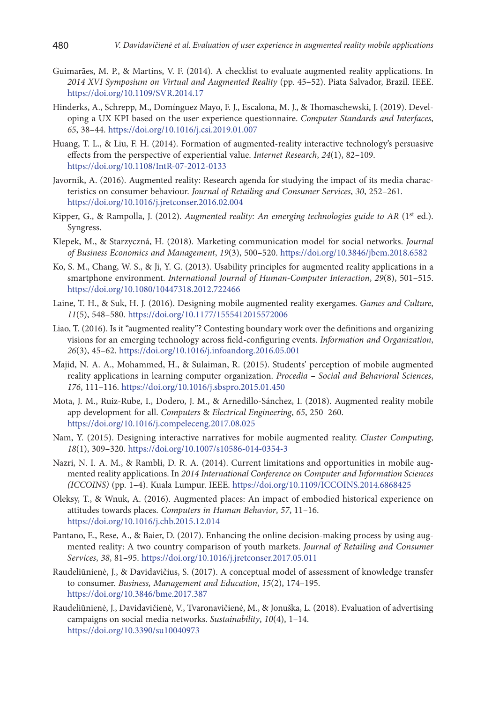- Guimarães, M. P., & Martins, V. F. (2014). A checklist to evaluate augmented reality applications. In *2014 XVI Symposium on Virtual and Augmented Reality* (pp. 45–52). Piata Salvador, Brazil. IEEE. <https://doi.org/10.1109/SVR.2014.17>
- Hinderks, A., Schrepp, M., Domínguez Mayo, F. J., Escalona, M. J., & Thomaschewski, J. (2019). Developing a UX KPI based on the user experience questionnaire. *Computer Standards and Interfaces*, *65*, 38–44. <https://doi.org/10.1016/j.csi.2019.01.007>
- Huang, T. L., & Liu, F. H. (2014). Formation of augmented-reality interactive technology's persuasive effects from the perspective of experiential value. *Internet Research*, *24*(1), 82–109. <https://doi.org/10.1108/IntR-07-2012-0133>
- Javornik, A. (2016). Augmented reality: Research agenda for studying the impact of its media characteristics on consumer behaviour. *Journal of Retailing and Consumer Services*, *30*, 252–261. <https://doi.org/10.1016/j.jretconser.2016.02.004>
- Kipper, G., & Rampolla, J. (2012). *Augmented reality: An emerging technologies guide to AR* (1<sup>st</sup> ed.). Syngress.
- Klepek, M., & Starzyczná, H. (2018). Marketing communication model for social networks. *Journal of Business Economics and Management*, *19*(3), 500–520. <https://doi.org/10.3846/jbem.2018.6582>
- Ko, S. M., Chang, W. S., & Ji, Y. G. (2013). Usability principles for augmented reality applications in a smartphone environment. *International Journal of Human-Computer Interaction*, *29*(8), 501–515. <https://doi.org/10.1080/10447318.2012.722466>
- Laine, T. H., & Suk, H. J. (2016). Designing mobile augmented reality exergames. *Games and Culture*, *11*(5), 548–580. <https://doi.org/10.1177/1555412015572006>
- Liao, T. (2016). Is it "augmented reality"? Contesting boundary work over the definitions and organizing visions for an emerging technology across field-configuring events. *Information and Organization*, *26*(3), 45–62. <https://doi.org/10.1016/j.infoandorg.2016.05.001>
- Majid, N. A. A., Mohammed, H., & Sulaiman, R. (2015). Students' perception of mobile augmented reality applications in learning computer organization. *Procedia – Social and Behavioral Sciences*, *176*, 111–116. <https://doi.org/10.1016/j.sbspro.2015.01.450>
- Mota, J. M., Ruiz-Rube, I., Dodero, J. M., & Arnedillo-Sánchez, I. (2018). Augmented reality mobile app development for all. *Computers* & *Electrical Engineering*, *65*, 250–260. <https://doi.org/10.1016/j.compeleceng.2017.08.025>
- Nam, Y. (2015). Designing interactive narratives for mobile augmented reality. *Cluster Computing*, *18*(1), 309–320. <https://doi.org/10.1007/s10586-014-0354-3>
- Nazri, N. I. A. M., & Rambli, D. R. A. (2014). Current limitations and opportunities in mobile augmented reality applications. In *2014 International Conference on Computer and Information Sciences (ICCOINS)* (pp. 1–4). Kuala Lumpur. IEEE. <https://doi.org/10.1109/ICCOINS.2014.6868425>
- Oleksy, T., & Wnuk, A. (2016). Augmented places: An impact of embodied historical experience on attitudes towards places. *Computers in Human Behavior*, *57*, 11–16. <https://doi.org/10.1016/j.chb.2015.12.014>
- Pantano, E., Rese, A., & Baier, D. (2017). Enhancing the online decision-making process by using augmented reality: A two country comparison of youth markets. *Journal of Retailing and Consumer Services*, *38*, 81–95. <https://doi.org/10.1016/j.jretconser.2017.05.011>
- Raudeliūnienė, J., & Davidavičius, S. (2017). A conceptual model of assessment of knowledge transfer to consumer. *Business, Management and Education*, *15*(2), 174–195. <https://doi.org/10.3846/bme.2017.387>
- Raudeliūnienė, J., Davidavičienė, V., Tvaronavičienė, M., & Jonuška, L. (2018). Evaluation of advertising campaigns on social media networks. *Sustainability*, *10*(4), 1–14. <https://doi.org/10.3390/su10040973>